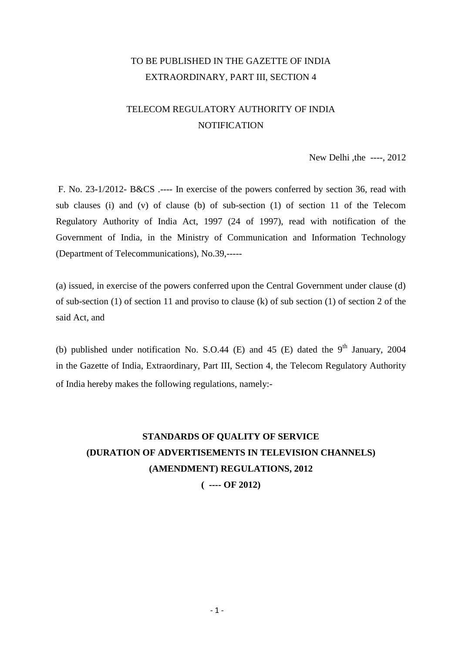## TO BE PUBLISHED IN THE GAZETTE OF INDIA EXTRAORDINARY, PART III, SECTION 4

# TELECOM REGULATORY AUTHORITY OF INDIA **NOTIFICATION**

New Delhi ,the ----, 2012

F. No. 23-1/2012- B&CS .---- In exercise of the powers conferred by section 36, read with sub clauses (i) and (v) of clause (b) of sub-section (1) of section 11 of the Telecom Regulatory Authority of India Act, 1997 (24 of 1997), read with notification of the Government of India, in the Ministry of Communication and Information Technology (Department of Telecommunications), No.39,-----

(a) issued, in exercise of the powers conferred upon the Central Government under clause (d) of sub-section (1) of section 11 and proviso to clause (k) of sub section (1) of section 2 of the said Act, and

(b) published under notification No. S.O.44 (E) and 45 (E) dated the  $9<sup>th</sup>$  January, 2004 in the Gazette of India, Extraordinary, Part III, Section 4, the Telecom Regulatory Authority of India hereby makes the following regulations, namely:-

# **STANDARDS OF QUALITY OF SERVICE (DURATION OF ADVERTISEMENTS IN TELEVISION CHANNELS) (AMENDMENT) REGULATIONS, 2012**

**( ---- OF 2012)**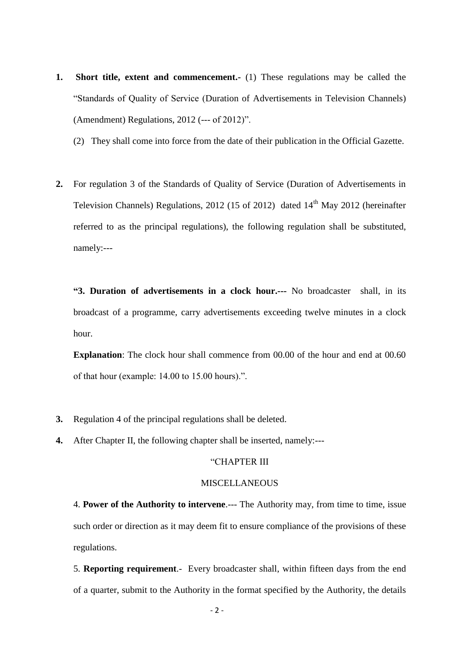- **1. Short title, extent and commencement.** (1) These regulations may be called the "Standards of Quality of Service (Duration of Advertisements in Television Channels) (Amendment) Regulations, 2012 (--- of 2012)".
	- (2) They shall come into force from the date of their publication in the Official Gazette.
- **2.** For regulation 3 of the Standards of Quality of Service (Duration of Advertisements in Television Channels) Regulations, 2012 (15 of 2012) dated  $14<sup>th</sup>$  May 2012 (hereinafter referred to as the principal regulations), the following regulation shall be substituted, namely:---

**"3. Duration of advertisements in a clock hour.---** No broadcaster shall, in its broadcast of a programme, carry advertisements exceeding twelve minutes in a clock hour.

**Explanation**: The clock hour shall commence from 00.00 of the hour and end at 00.60 of that hour (example: 14.00 to 15.00 hours).".

- **3.** Regulation 4 of the principal regulations shall be deleted.
- **4.** After Chapter II, the following chapter shall be inserted, namely:---

## "CHAPTER III

#### **MISCELLANEOUS**

4. **Power of the Authority to intervene**.--- The Authority may, from time to time, issue such order or direction as it may deem fit to ensure compliance of the provisions of these regulations.

5. **Reporting requirement**.- Every broadcaster shall, within fifteen days from the end of a quarter, submit to the Authority in the format specified by the Authority, the details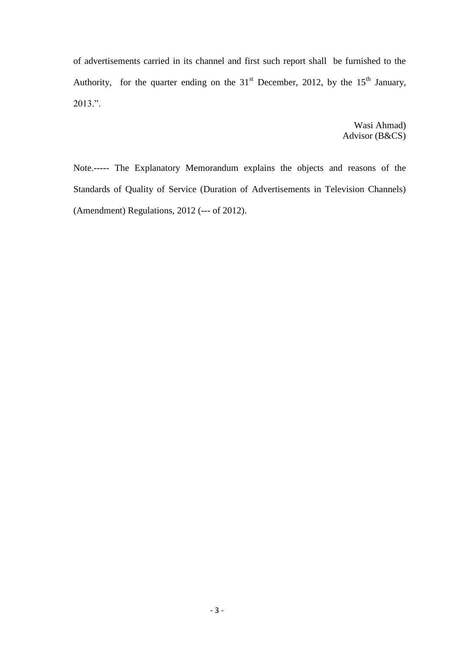of advertisements carried in its channel and first such report shall be furnished to the Authority, for the quarter ending on the  $31<sup>st</sup>$  December, 2012, by the  $15<sup>th</sup>$  January, 2013.".

> Wasi Ahmad) Advisor (B&CS)

Note.----- The Explanatory Memorandum explains the objects and reasons of the Standards of Quality of Service (Duration of Advertisements in Television Channels) (Amendment) Regulations, 2012 (--- of 2012).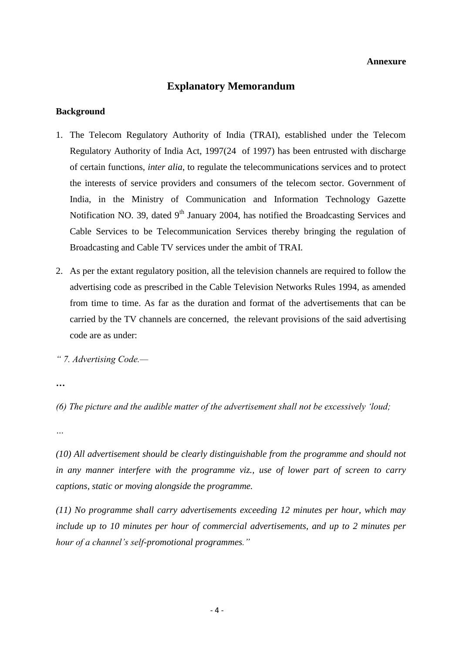#### **Annexure**

## **Explanatory Memorandum**

#### **Background**

- 1. The Telecom Regulatory Authority of India (TRAI), established under the Telecom Regulatory Authority of India Act, 1997(24 of 1997) has been entrusted with discharge of certain functions, *inter alia*, to regulate the telecommunications services and to protect the interests of service providers and consumers of the telecom sector. Government of India, in the Ministry of Communication and Information Technology Gazette Notification NO. 39, dated  $9<sup>th</sup>$  January 2004, has notified the Broadcasting Services and Cable Services to be Telecommunication Services thereby bringing the regulation of Broadcasting and Cable TV services under the ambit of TRAI.
- 2. As per the extant regulatory position, all the television channels are required to follow the advertising code as prescribed in the Cable Television Networks Rules 1994, as amended from time to time. As far as the duration and format of the advertisements that can be carried by the TV channels are concerned, the relevant provisions of the said advertising code are as under:

*" 7. Advertising Code.—*

*…*

*(6) The picture and the audible matter of the advertisement shall not be excessively 'loud;* 

*…*

*(10) All advertisement should be clearly distinguishable from the programme and should not in any manner interfere with the programme viz., use of lower part of screen to carry captions, static or moving alongside the programme.*

*(11) No programme shall carry advertisements exceeding 12 minutes per hour, which may include up to 10 minutes per hour of commercial advertisements, and up to 2 minutes per hour of a channel's self-promotional programmes."*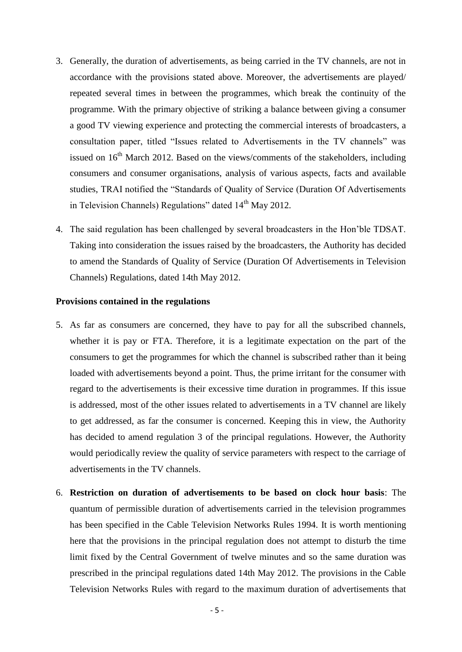- 3. Generally, the duration of advertisements, as being carried in the TV channels, are not in accordance with the provisions stated above. Moreover, the advertisements are played/ repeated several times in between the programmes, which break the continuity of the programme. With the primary objective of striking a balance between giving a consumer a good TV viewing experience and protecting the commercial interests of broadcasters, a consultation paper, titled "Issues related to Advertisements in the TV channels" was issued on  $16<sup>th</sup>$  March 2012. Based on the views/comments of the stakeholders, including consumers and consumer organisations, analysis of various aspects, facts and available studies, TRAI notified the "Standards of Quality of Service (Duration Of Advertisements in Television Channels) Regulations" dated  $14<sup>th</sup>$  May 2012.
- 4. The said regulation has been challenged by several broadcasters in the Hon'ble TDSAT. Taking into consideration the issues raised by the broadcasters, the Authority has decided to amend the Standards of Quality of Service (Duration Of Advertisements in Television Channels) Regulations, dated 14th May 2012.

#### **Provisions contained in the regulations**

- 5. As far as consumers are concerned, they have to pay for all the subscribed channels, whether it is pay or FTA. Therefore, it is a legitimate expectation on the part of the consumers to get the programmes for which the channel is subscribed rather than it being loaded with advertisements beyond a point. Thus, the prime irritant for the consumer with regard to the advertisements is their excessive time duration in programmes. If this issue is addressed, most of the other issues related to advertisements in a TV channel are likely to get addressed, as far the consumer is concerned. Keeping this in view, the Authority has decided to amend regulation 3 of the principal regulations. However, the Authority would periodically review the quality of service parameters with respect to the carriage of advertisements in the TV channels.
- 6. **Restriction on duration of advertisements to be based on clock hour basis**: The quantum of permissible duration of advertisements carried in the television programmes has been specified in the Cable Television Networks Rules 1994. It is worth mentioning here that the provisions in the principal regulation does not attempt to disturb the time limit fixed by the Central Government of twelve minutes and so the same duration was prescribed in the principal regulations dated 14th May 2012. The provisions in the Cable Television Networks Rules with regard to the maximum duration of advertisements that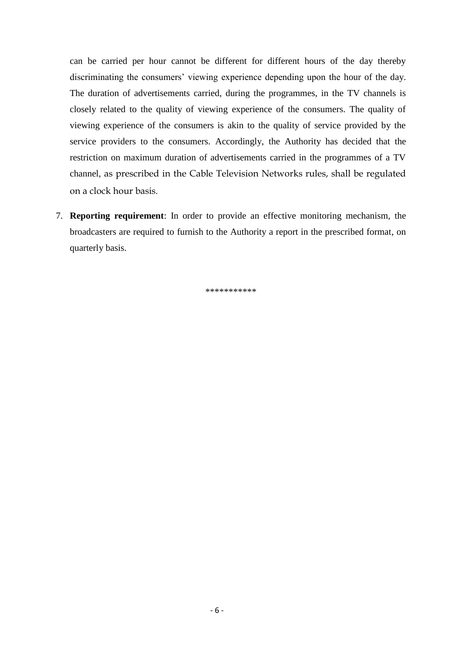can be carried per hour cannot be different for different hours of the day thereby discriminating the consumers' viewing experience depending upon the hour of the day. The duration of advertisements carried, during the programmes, in the TV channels is closely related to the quality of viewing experience of the consumers. The quality of viewing experience of the consumers is akin to the quality of service provided by the service providers to the consumers. Accordingly, the Authority has decided that the restriction on maximum duration of advertisements carried in the programmes of a TV channel, as prescribed in the Cable Television Networks rules, shall be regulated on a clock hour basis.

7. **Reporting requirement**: In order to provide an effective monitoring mechanism, the broadcasters are required to furnish to the Authority a report in the prescribed format, on quarterly basis.

\*\*\*\*\*\*\*\*\*\*\*